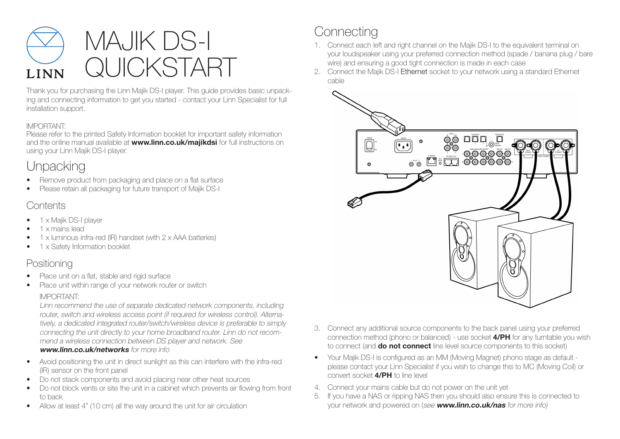

Thank you for purchasing the Linn Majik DS-I player. This guide provides basic unpacking and connecting information to get you started - contact your Linn Specialist for full installation support.

#### IMPORTANT:

Please refer to the printed Safety Information booklet for important safety information and the online manual available at **www.linn.co.uk/majikdsi** for full instructions on using your Linn Majik DS-I player.

# **Unpacking**

- Remove product from packaging and place on a flat surface
- Please retain all packaging for future transport of Majik DS-I

### **Contents**

- 1 x Majik DS-I player
- 1 x mains lead
- 1 x luminous infra-red (IR) handset (with 2 x AAA batteries)
- 1 x Safety Information booklet

### Positioning

- Place unit on a flat, stable and rigid surface
- Place unit within range of your network router or switch

### IMPORTANT:

Linn recommend the use of separate dedicated network components, including router, switch and wireless access point (if required for wireless control). Alternatively, a dedicated integrated router/switch/wireless device is preferable to simply connecting the unit directly to your home broadband router. Linn do not recommend a wireless connection between DS player and network. See www.linn.co.uk/networks for more info

- Avoid positioning the unit in direct sunlight as this can interfere with the infra-red (IR) sensor on the front panel
- Do not stack components and avoid placing near other heat sources
- Do not block vents or site the unit in a cabinet which prevents air flowing from front to back
- Allow at least 4" (10 cm) all the way around the unit for air circulation

# **Connecting**

- 1. Connect each left and right channel on the Majik DS-I to the equivalent terminal on your loudspeaker using your preferred connection method (spade / banana plug / bare wire) and ensuring a good tight connection is made in each case
- 2. Connect the Majik DS-I Ethernet socket to your network using a standard Ethernet cable



- 3. Connect any additional source components to the back panel using your preferred connection method (phono or balanced) - use socket 4/PH for any turntable you wish to connect (and **do not connect** line level source components to this socket)
- Your Majik DS-I is configured as an MM (Moving Magnet) phono stage as default please contact your Linn Specialist if you wish to change this to MC (Moving Coil) or convert socket 4/PH to line level
- 4. Connect your mains cable but do not power on the unit yet
- 5. If you have a NAS or ripping NAS then you should also ensure this is connected to your network and powered on (see www.linn.co.uk/nas for more info)